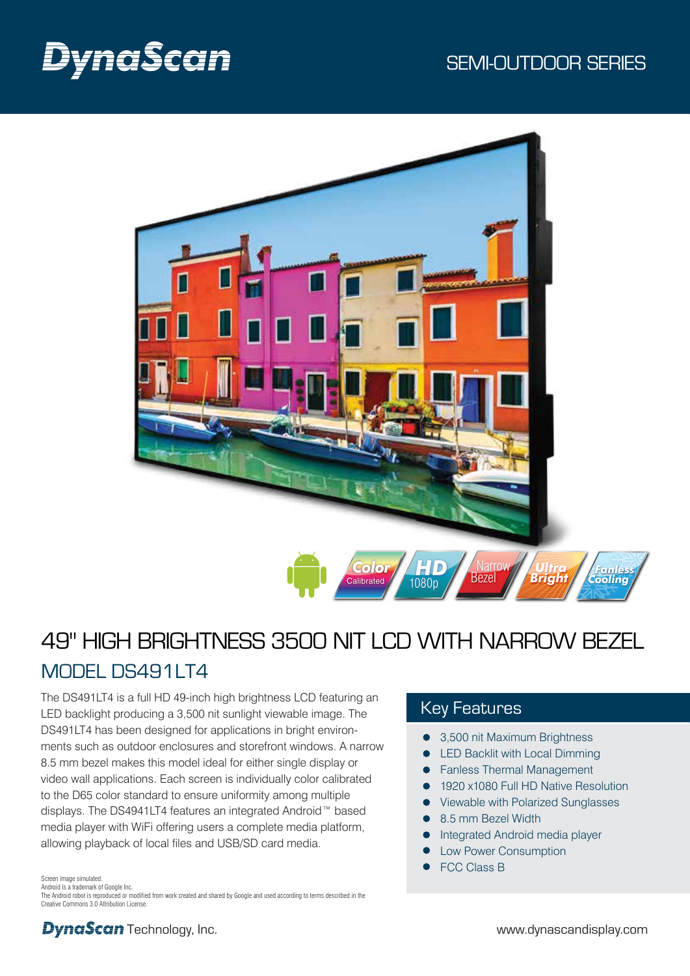

# 49" HIGH BRIGHTNESS 3500 NIT LCD WITH NARROW BEZEL MODEL DS491LT4

The DS491LT4 is a full HD 49-inch high brightness LCD featuring an LED backlight producing a 3,500 nit sunlight viewable image. The DS491LT4 has been designed for applications in bright environments such as outdoor enclosures and storefront windows. A narrow 8.5 mm bezel makes this model ideal for either single display or video wall applications. Each screen is individually color calibrated to the D65 color standard to ensure uniformity among multiple displays. The DS4941LT4 features an integrated Android™ based media player with WiFi offering users a complete media platform, allowing playback of local files and USB/SD card media.

Key Features

- 3,500 nit Maximum Brightness
- LED Backlit with Local Dimming
- Fanless Thermal Management
- 1920 x1080 Full HD Native Resolution
- Viewable with Polarized Sunglasses
- 8.5 mm Bezel Width
- Integrated Android media player
- Low Power Consumption
- FCC Class B

Screen image simulated.

Android is a trademark of Google Inc.

The Android robot is reproduced or modified from work created and shared by Google and used according to terms described in the Creative Commons 3.0 Attribution License.

**DynaScan** Technology, Inc. example the state of the state of the www.dynascandisplay.com